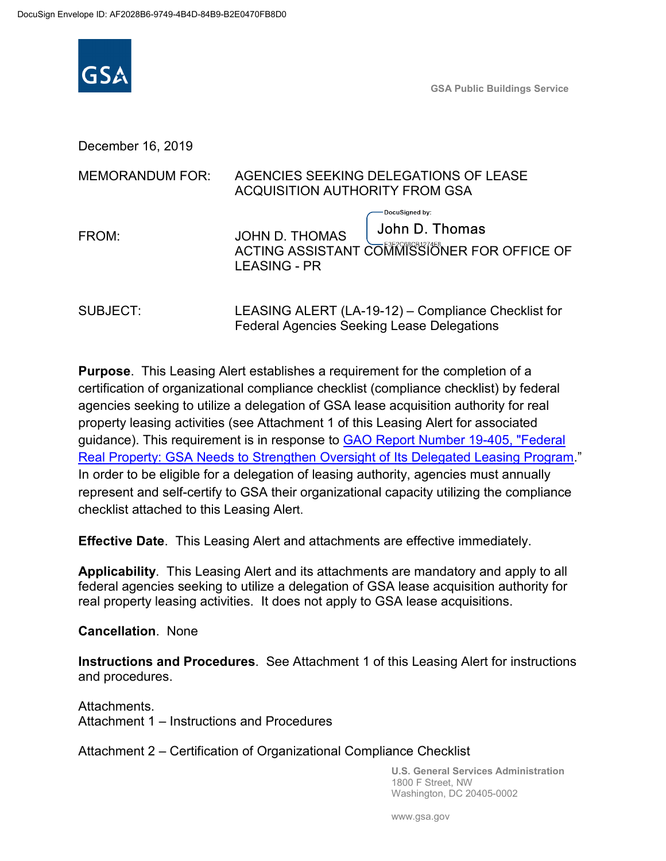

**GSA Public Buildings Service**

December 16, 2019

| <b>MEMORANDUM FOR:</b> | AGENCIES SEEKING DELEGATIONS OF LEASE<br><b>ACQUISITION AUTHORITY FROM GSA</b>                                                  |  |
|------------------------|---------------------------------------------------------------------------------------------------------------------------------|--|
| FROM:                  | DocuSigned by:<br>John D. Thomas<br><b>JOHN D. THOMAS</b><br>ACTING ASSISTANT COMMISSIONER FOR OFFICE OF<br><b>LEASING - PR</b> |  |
| SUBJECT:               | LEASING ALERT (LA-19-12) – Compliance Checklist for<br><b>Federal Agencies Seeking Lease Delegations</b>                        |  |

**Purpose**. This Leasing Alert establishes a requirement for the completion of a certification of organizational compliance checklist (compliance checklist) by federal agencies seeking to utilize a delegation of GSA lease acquisition authority for real property leasing activities (see Attachment 1 of this Leasing Alert for associated guidance). This requirement is in response to [GAO Report Number 19-405, "Federal](https://www.gao.gov/assets/700/699463.pdf)  [Real Property: GSA Needs to Strengthen Oversight of Its Delegated Leasing Program.](https://www.gao.gov/assets/700/699463.pdf)" In order to be eligible for a delegation of leasing authority, agencies must annually represent and self-certify to GSA their organizational capacity utilizing the compliance checklist attached to this Leasing Alert.

**Effective Date**. This Leasing Alert and attachments are effective immediately.

**Applicability**. This Leasing Alert and its attachments are mandatory and apply to all federal agencies seeking to utilize a delegation of GSA lease acquisition authority for real property leasing activities. It does not apply to GSA lease acquisitions.

**Cancellation**. None

**Instructions and Procedures**. See Attachment 1 of this Leasing Alert for instructions and procedures.

Attachments. Attachment 1 – Instructions and Procedures

Attachment 2 – Certification of Organizational Compliance Checklist

**U.S. General Services Administration** 1800 F Street, NW Washington, DC 20405-0002

www.gsa.gov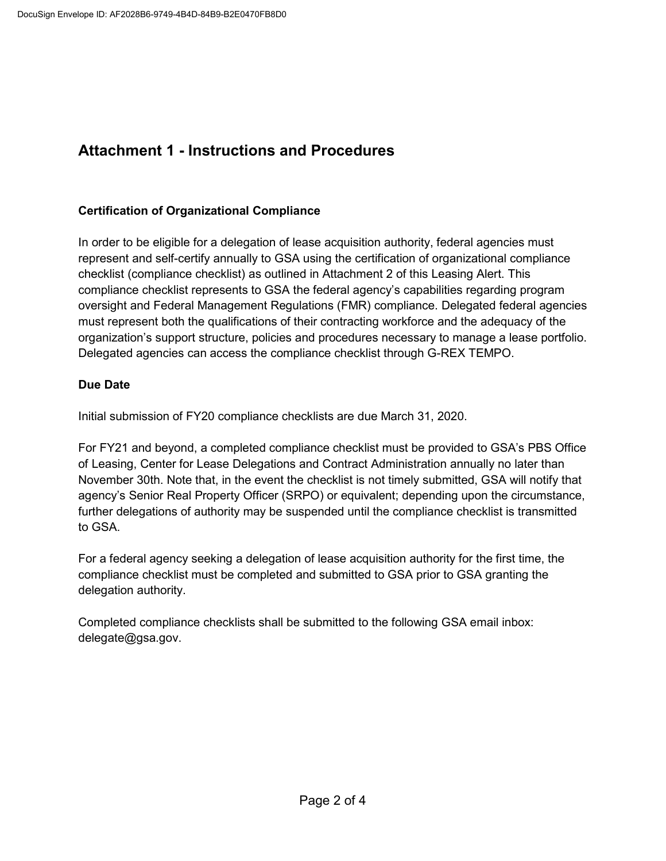### **Attachment 1 - Instructions and Procedures**

#### **Certification of Organizational Compliance**

In order to be eligible for a delegation of lease acquisition authority, federal agencies must represent and self-certify annually to GSA using the certification of organizational compliance checklist (compliance checklist) as outlined in Attachment 2 of this Leasing Alert. This compliance checklist represents to GSA the federal agency's capabilities regarding program oversight and Federal Management Regulations (FMR) compliance. Delegated federal agencies must represent both the qualifications of their contracting workforce and the adequacy of the organization's support structure, policies and procedures necessary to manage a lease portfolio. Delegated agencies can access the compliance checklist through G-REX TEMPO.

#### **Due Date**

Initial submission of FY20 compliance checklists are due March 31, 2020.

For FY21 and beyond, a completed compliance checklist must be provided to GSA's PBS Office of Leasing, Center for Lease Delegations and Contract Administration annually no later than November 30th. Note that, in the event the checklist is not timely submitted, GSA will notify that agency's Senior Real Property Officer (SRPO) or equivalent; depending upon the circumstance, further delegations of authority may be suspended until the compliance checklist is transmitted to GSA.

For a federal agency seeking a delegation of lease acquisition authority for the first time, the compliance checklist must be completed and submitted to GSA prior to GSA granting the delegation authority.

Completed compliance checklists shall be submitted to the following GSA email inbox: delegate@gsa.gov.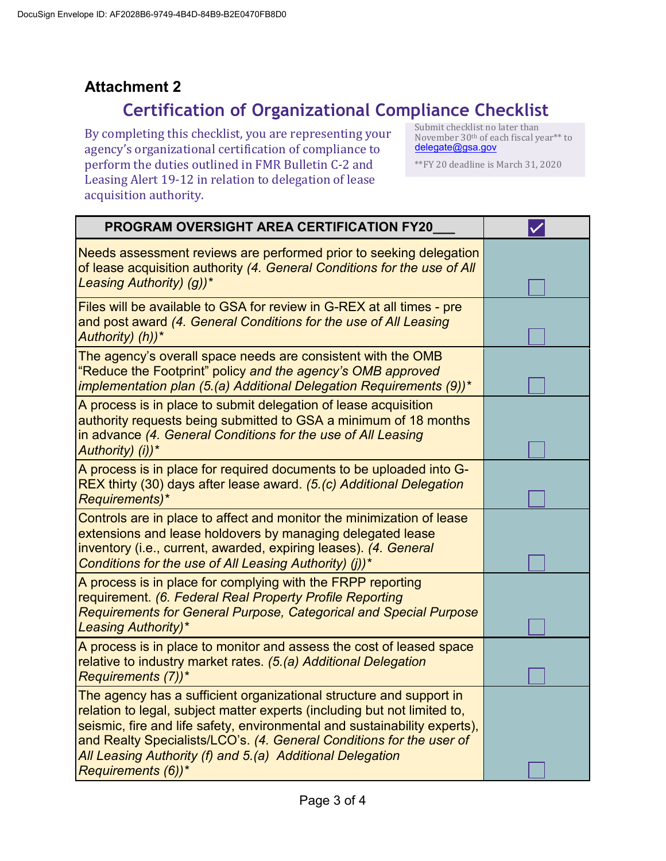## **Attachment 2**

# **Certification of Organizational Compliance Checklist**

By completing this checklist, you are representing your agency's organizational certification of compliance to perform the duties outlined in FMR Bulletin C-2 and Leasing Alert 19-12 in relation to delegation of lease acquisition authority.

Submit checklist no later than November 30th of each fiscal year\*\* to [delegate@gsa.gov](mailto:delegate@gsa.gov)

\*\*FY 20 deadline is March 31, 2020

| <b>PROGRAM OVERSIGHT AREA CERTIFICATION FY20</b>                                                                                                                                                                                                                                                                                                                                        |  |
|-----------------------------------------------------------------------------------------------------------------------------------------------------------------------------------------------------------------------------------------------------------------------------------------------------------------------------------------------------------------------------------------|--|
| Needs assessment reviews are performed prior to seeking delegation<br>of lease acquisition authority (4. General Conditions for the use of All<br>Leasing Authority) (g))*                                                                                                                                                                                                              |  |
| Files will be available to GSA for review in G-REX at all times - pre<br>and post award (4. General Conditions for the use of All Leasing<br>Authority) (h))*                                                                                                                                                                                                                           |  |
| The agency's overall space needs are consistent with the OMB<br>"Reduce the Footprint" policy and the agency's OMB approved<br>implementation plan (5.(a) Additional Delegation Requirements (9))*                                                                                                                                                                                      |  |
| A process is in place to submit delegation of lease acquisition<br>authority requests being submitted to GSA a minimum of 18 months<br>in advance (4. General Conditions for the use of All Leasing<br>Authority) (i))*                                                                                                                                                                 |  |
| A process is in place for required documents to be uploaded into G-<br>REX thirty (30) days after lease award. (5.(c) Additional Delegation<br>Requirements)*                                                                                                                                                                                                                           |  |
| Controls are in place to affect and monitor the minimization of lease<br>extensions and lease holdovers by managing delegated lease<br>inventory (i.e., current, awarded, expiring leases). (4. General<br>Conditions for the use of All Leasing Authority) (j))*                                                                                                                       |  |
| A process is in place for complying with the FRPP reporting<br>requirement. (6. Federal Real Property Profile Reporting<br><b>Requirements for General Purpose, Categorical and Special Purpose</b><br><b>Leasing Authority)*</b>                                                                                                                                                       |  |
| A process is in place to monitor and assess the cost of leased space<br>relative to industry market rates. (5.(a) Additional Delegation<br>Requirements (7))*                                                                                                                                                                                                                           |  |
| The agency has a sufficient organizational structure and support in<br>relation to legal, subject matter experts (including but not limited to,<br>seismic, fire and life safety, environmental and sustainability experts),<br>and Realty Specialists/LCO's. (4. General Conditions for the user of<br>All Leasing Authority (f) and 5 (a) Additional Delegation<br>Requirements (6))* |  |